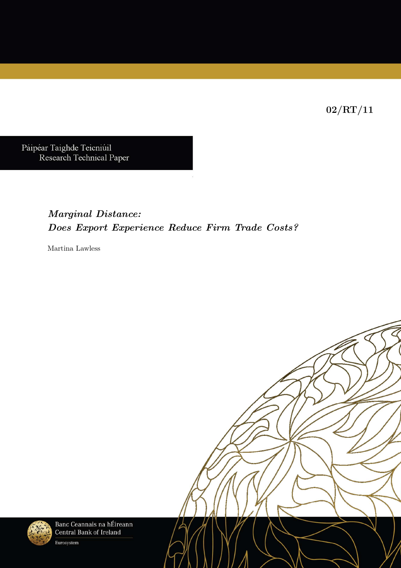02/RT/11

Páipéar Taighde Teicniúil Research Technical Paper

> Marginal Distance: Does Export Experience Reduce Firm Trade Costs?

Martina Lawless



Banc Ceannais na hÉireann Central Bank of Ireland Eurosystem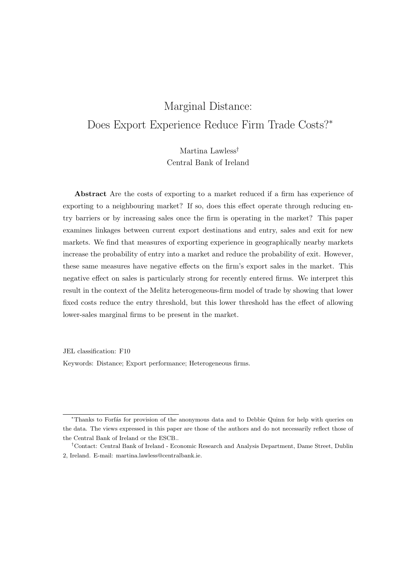# Marginal Distance: Does Export Experience Reduce Firm Trade Costs?<sup>∗</sup>

Martina Lawless† Central Bank of Ireland

Abstract Are the costs of exporting to a market reduced if a firm has experience of exporting to a neighbouring market? If so, does this effect operate through reducing entry barriers or by increasing sales once the firm is operating in the market? This paper examines linkages between current export destinations and entry, sales and exit for new markets. We find that measures of exporting experience in geographically nearby markets increase the probability of entry into a market and reduce the probability of exit. However, these same measures have negative effects on the firm's export sales in the market. This negative effect on sales is particularly strong for recently entered firms. We interpret this result in the context of the Melitz heterogeneous-firm model of trade by showing that lower fixed costs reduce the entry threshold, but this lower threshold has the effect of allowing lower-sales marginal firms to be present in the market.

JEL classification: F10

Keywords: Distance; Export performance; Heterogeneous firms.

<sup>∗</sup>Thanks to Forf´as for provision of the anonymous data and to Debbie Quinn for help with queries on the data. The views expressed in this paper are those of the authors and do not necessarily reflect those of the Central Bank of Ireland or the ESCB..

<sup>†</sup>Contact: Central Bank of Ireland - Economic Research and Analysis Department, Dame Street, Dublin 2, Ireland. E-mail: martina.lawless@centralbank.ie.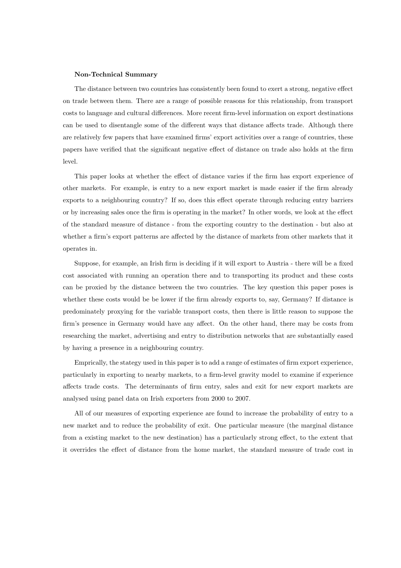#### Non-Technical Summary

The distance between two countries has consistently been found to exert a strong, negative effect on trade between them. There are a range of possible reasons for this relationship, from transport costs to language and cultural differences. More recent firm-level information on export destinations can be used to disentangle some of the different ways that distance affects trade. Although there are relatively few papers that have examined firms' export activities over a range of countries, these papers have verified that the significant negative effect of distance on trade also holds at the firm level.

This paper looks at whether the effect of distance varies if the firm has export experience of other markets. For example, is entry to a new export market is made easier if the firm already exports to a neighbouring country? If so, does this effect operate through reducing entry barriers or by increasing sales once the firm is operating in the market? In other words, we look at the effect of the standard measure of distance - from the exporting country to the destination - but also at whether a firm's export patterns are affected by the distance of markets from other markets that it operates in.

Suppose, for example, an Irish firm is deciding if it will export to Austria - there will be a fixed cost associated with running an operation there and to transporting its product and these costs can be proxied by the distance between the two countries. The key question this paper poses is whether these costs would be be lower if the firm already exports to, say, Germany? If distance is predominately proxying for the variable transport costs, then there is little reason to suppose the firm's presence in Germany would have any affect. On the other hand, there may be costs from researching the market, advertising and entry to distribution networks that are substantially eased by having a presence in a neighbouring country.

Emprically, the stategy used in this paper is to add a range of estimates of firm export experience, particularly in exporting to nearby markets, to a firm-level gravity model to examine if experience affects trade costs. The determinants of firm entry, sales and exit for new export markets are analysed using panel data on Irish exporters from 2000 to 2007.

All of our measures of exporting experience are found to increase the probability of entry to a new market and to reduce the probability of exit. One particular measure (the marginal distance from a existing market to the new destination) has a particularly strong effect, to the extent that it overrides the effect of distance from the home market, the standard measure of trade cost in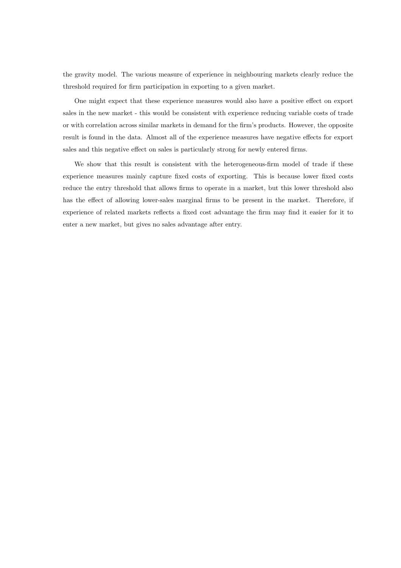the gravity model. The various measure of experience in neighbouring markets clearly reduce the threshold required for firm participation in exporting to a given market.

One might expect that these experience measures would also have a positive effect on export sales in the new market - this would be consistent with experience reducing variable costs of trade or with correlation across similar markets in demand for the firm's products. However, the opposite result is found in the data. Almost all of the experience measures have negative effects for export sales and this negative effect on sales is particularly strong for newly entered firms.

We show that this result is consistent with the heterogeneous-firm model of trade if these experience measures mainly capture fixed costs of exporting. This is because lower fixed costs reduce the entry threshold that allows firms to operate in a market, but this lower threshold also has the effect of allowing lower-sales marginal firms to be present in the market. Therefore, if experience of related markets reflects a fixed cost advantage the firm may find it easier for it to enter a new market, but gives no sales advantage after entry.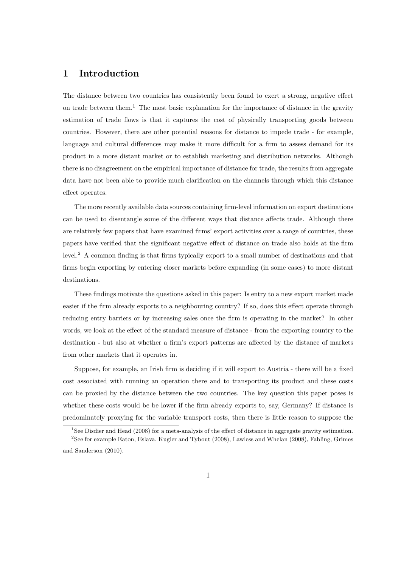## 1 Introduction

The distance between two countries has consistently been found to exert a strong, negative effect on trade between them.<sup>1</sup> The most basic explanation for the importance of distance in the gravity estimation of trade flows is that it captures the cost of physically transporting goods between countries. However, there are other potential reasons for distance to impede trade - for example, language and cultural differences may make it more difficult for a firm to assess demand for its product in a more distant market or to establish marketing and distribution networks. Although there is no disagreement on the empirical importance of distance for trade, the results from aggregate data have not been able to provide much clarification on the channels through which this distance effect operates.

The more recently available data sources containing firm-level information on export destinations can be used to disentangle some of the different ways that distance affects trade. Although there are relatively few papers that have examined firms' export activities over a range of countries, these papers have verified that the significant negative effect of distance on trade also holds at the firm level.<sup>2</sup> A common finding is that firms typically export to a small number of destinations and that firms begin exporting by entering closer markets before expanding (in some cases) to more distant destinations.

These findings motivate the questions asked in this paper: Is entry to a new export market made easier if the firm already exports to a neighbouring country? If so, does this effect operate through reducing entry barriers or by increasing sales once the firm is operating in the market? In other words, we look at the effect of the standard measure of distance - from the exporting country to the destination - but also at whether a firm's export patterns are affected by the distance of markets from other markets that it operates in.

Suppose, for example, an Irish firm is deciding if it will export to Austria - there will be a fixed cost associated with running an operation there and to transporting its product and these costs can be proxied by the distance between the two countries. The key question this paper poses is whether these costs would be be lower if the firm already exports to, say, Germany? If distance is predominately proxying for the variable transport costs, then there is little reason to suppose the

<sup>&</sup>lt;sup>1</sup>See Disdier and Head (2008) for a meta-analysis of the effect of distance in aggregate gravity estimation.

<sup>2</sup>See for example Eaton, Eslava, Kugler and Tybout (2008), Lawless and Whelan (2008), Fabling, Grimes and Sanderson (2010).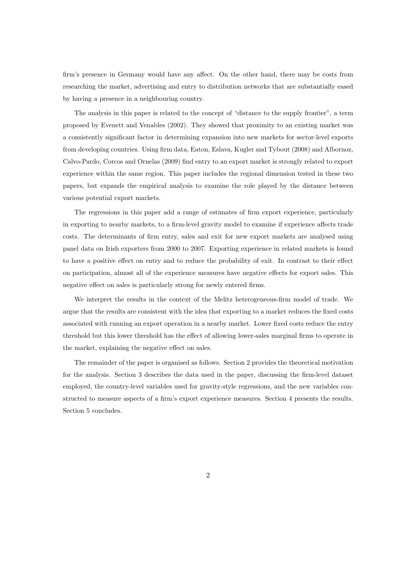firm's presence in Germany would have any affect. On the other hand, there may be costs from researching the market, advertising and entry to distribution networks that are substantially eased by having a presence in a neighbouring country.

The analysis in this paper is related to the concept of "distance to the supply frontier", a term proposed by Evenett and Venables (2002). They showed that proximity to an existing market was a consistently significant factor in determining expansion into new markets for sector-level exports from developing countries. Using firm data, Eaton, Eslava, Kugler and Tybout (2008) and Albornoz, Calvo-Pardo, Corcos and Ornelas (2009) find entry to an export market is strongly related to export experience within the same region. This paper includes the regional dimension tested in these two papers, but expands the empirical analysis to examine the role played by the distance between various potential export markets.

The regressions in this paper add a range of estimates of firm export experience, particularly in exporting to nearby markets, to a firm-level gravity model to examine if experience affects trade costs. The determinants of firm entry, sales and exit for new export markets are analysed using panel data on Irish exporters from 2000 to 2007. Exporting experience in related markets is found to have a positive effect on entry and to reduce the probability of exit. In contrast to their effect on participation, almost all of the experience measures have negative effects for export sales. This negative effect on sales is particularly strong for newly entered firms.

We interpret the results in the context of the Melitz heterogeneous-firm model of trade. We argue that the results are consistent with the idea that exporting to a market reduces the fixed costs associated with running an export operation in a nearby market. Lower fixed costs reduce the entry threshold but this lower threshold has the effect of allowing lower-sales marginal firms to operate in the market, explaining the negative effect on sales.

The remainder of the paper is organised as follows. Section 2 provides the theoretical motivation for the analysis. Section 3 describes the data used in the paper, discussing the firm-level dataset employed, the country-level variables used for gravity-style regressions, and the new variables constructed to measure aspects of a firm's export experience measures. Section 4 presents the results. Section 5 concludes.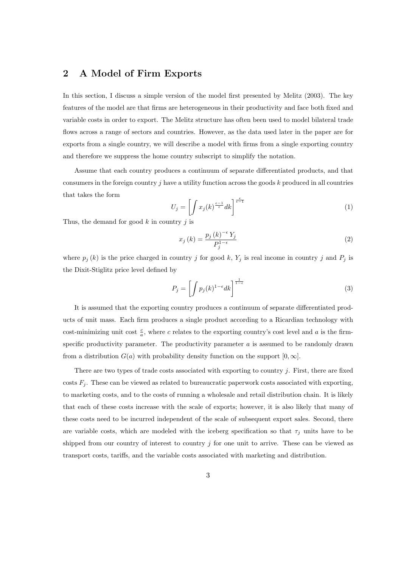## 2 A Model of Firm Exports

In this section, I discuss a simple version of the model first presented by Melitz (2003). The key features of the model are that firms are heterogeneous in their productivity and face both fixed and variable costs in order to export. The Melitz structure has often been used to model bilateral trade flows across a range of sectors and countries. However, as the data used later in the paper are for exports from a single country, we will describe a model with firms from a single exporting country and therefore we suppress the home country subscript to simplify the notation.

Assume that each country produces a continuum of separate differentiated products, and that consumers in the foreign country j have a utility function across the goods  $k$  produced in all countries that takes the form

$$
U_j = \left[ \int x_j(k)^{\frac{\epsilon - 1}{\epsilon}} dk \right]^{\frac{\epsilon}{\epsilon - 1}} \tag{1}
$$

Thus, the demand for good  $k$  in country  $j$  is

$$
x_j(k) = \frac{p_j(k)^{-\epsilon} Y_j}{P_j^{1-\epsilon}} \tag{2}
$$

where  $p_j (k)$  is the price charged in country j for good k,  $Y_j$  is real income in country j and  $P_j$  is the Dixit-Stiglitz price level defined by

$$
P_j = \left[ \int p_j(k)^{1-\epsilon} dk \right]^{\frac{1}{1-\epsilon}} \tag{3}
$$

It is assumed that the exporting country produces a continuum of separate differentiated products of unit mass. Each firm produces a single product according to a Ricardian technology with cost-minimizing unit cost  $\frac{c}{a}$ , where c relates to the exporting country's cost level and a is the firmspecific productivity parameter. The productivity parameter  $a$  is assumed to be randomly drawn from a distribution  $G(a)$  with probability density function on the support  $[0, \infty]$ .

There are two types of trade costs associated with exporting to country j. First, there are fixed costs  $F_i$ . These can be viewed as related to bureaucratic paperwork costs associated with exporting, to marketing costs, and to the costs of running a wholesale and retail distribution chain. It is likely that each of these costs increase with the scale of exports; however, it is also likely that many of these costs need to be incurred independent of the scale of subsequent export sales. Second, there are variable costs, which are modeled with the iceberg specification so that  $\tau_j$  units have to be shipped from our country of interest to country  $j$  for one unit to arrive. These can be viewed as transport costs, tariffs, and the variable costs associated with marketing and distribution.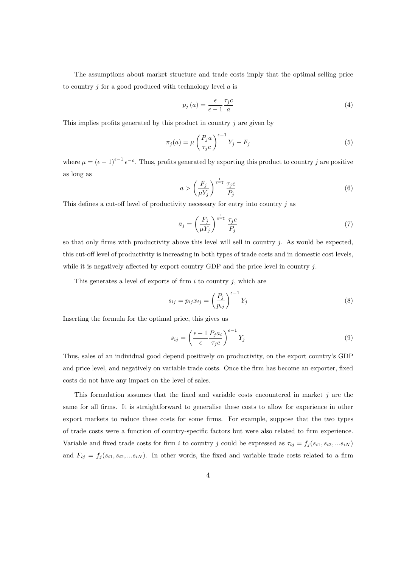The assumptions about market structure and trade costs imply that the optimal selling price to country  $i$  for a good produced with technology level  $a$  is

$$
p_j\left(a\right) = \frac{\epsilon}{\epsilon - 1} \frac{\tau_j c}{a} \tag{4}
$$

This implies profits generated by this product in country  $j$  are given by

$$
\pi_j(a) = \mu \left(\frac{P_j a}{\tau_j c}\right)^{\epsilon - 1} Y_j - F_j \tag{5}
$$

where  $\mu = (\epsilon - 1)^{\epsilon - 1} \epsilon^{-\epsilon}$ . Thus, profits generated by exporting this product to country j are positive as long as

$$
a > \left(\frac{F_j}{\mu Y_j}\right)^{\frac{1}{\epsilon - 1}} \frac{\tau_j c}{P_j} \tag{6}
$$

This defines a cut-off level of productivity necessary for entry into country  $j$  as

$$
\bar{a}_j = \left(\frac{F_j}{\mu Y_j}\right)^{\frac{1}{\epsilon - 1}} \frac{\tau_j c}{P_j} \tag{7}
$$

so that only firms with productivity above this level will sell in country  $j$ . As would be expected, this cut-off level of productivity is increasing in both types of trade costs and in domestic cost levels, while it is negatively affected by export country GDP and the price level in country  $j$ .

This generates a level of exports of firm  $i$  to country  $j$ , which are

$$
s_{ij} = p_{ij} x_{ij} = \left(\frac{P_j}{p_{ij}}\right)^{\epsilon - 1} Y_j \tag{8}
$$

Inserting the formula for the optimal price, this gives us

$$
s_{ij} = \left(\frac{\epsilon - 1}{\epsilon} \frac{P_j a_i}{\tau_j c}\right)^{\epsilon - 1} Y_j \tag{9}
$$

Thus, sales of an individual good depend positively on productivity, on the export country's GDP and price level, and negatively on variable trade costs. Once the firm has become an exporter, fixed costs do not have any impact on the level of sales.

This formulation assumes that the fixed and variable costs encountered in market  $j$  are the same for all firms. It is straightforward to generalise these costs to allow for experience in other export markets to reduce these costs for some firms. For example, suppose that the two types of trade costs were a function of country-specific factors but were also related to firm experience. Variable and fixed trade costs for firm i to country j could be expressed as  $\tau_{ij} = f_j(s_{i1}, s_{i2}, ...s_{iN})$ and  $F_{ij} = f_j(s_{i1}, s_{i2},...s_{iN})$ . In other words, the fixed and variable trade costs related to a firm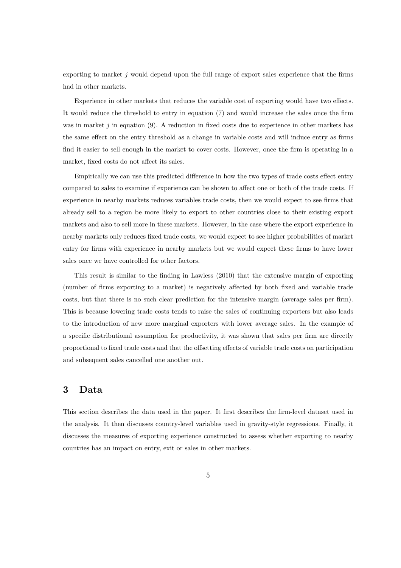exporting to market  $j$  would depend upon the full range of export sales experience that the firms had in other markets.

Experience in other markets that reduces the variable cost of exporting would have two effects. It would reduce the threshold to entry in equation (7) and would increase the sales once the firm was in market  $j$  in equation (9). A reduction in fixed costs due to experience in other markets has the same effect on the entry threshold as a change in variable costs and will induce entry as firms find it easier to sell enough in the market to cover costs. However, once the firm is operating in a market, fixed costs do not affect its sales.

Empirically we can use this predicted difference in how the two types of trade costs effect entry compared to sales to examine if experience can be shown to affect one or both of the trade costs. If experience in nearby markets reduces variables trade costs, then we would expect to see firms that already sell to a region be more likely to export to other countries close to their existing export markets and also to sell more in these markets. However, in the case where the export experience in nearby markets only reduces fixed trade costs, we would expect to see higher probabilities of market entry for firms with experience in nearby markets but we would expect these firms to have lower sales once we have controlled for other factors.

This result is similar to the finding in Lawless (2010) that the extensive margin of exporting (number of firms exporting to a market) is negatively affected by both fixed and variable trade costs, but that there is no such clear prediction for the intensive margin (average sales per firm). This is because lowering trade costs tends to raise the sales of continuing exporters but also leads to the introduction of new more marginal exporters with lower average sales. In the example of a specific distributional assumption for productivity, it was shown that sales per firm are directly proportional to fixed trade costs and that the offsetting effects of variable trade costs on participation and subsequent sales cancelled one another out.

## 3 Data

This section describes the data used in the paper. It first describes the firm-level dataset used in the analysis. It then discusses country-level variables used in gravity-style regressions. Finally, it discusses the measures of exporting experience constructed to assess whether exporting to nearby countries has an impact on entry, exit or sales in other markets.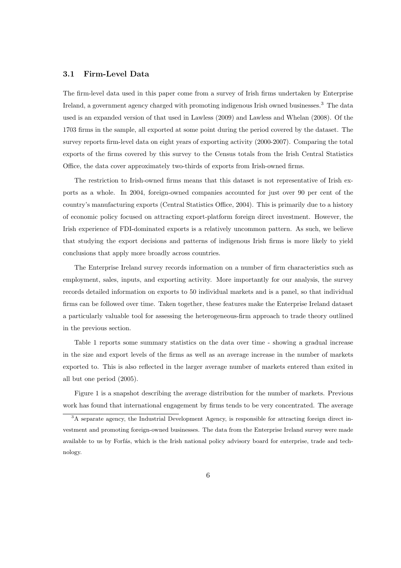## 3.1 Firm-Level Data

The firm-level data used in this paper come from a survey of Irish firms undertaken by Enterprise Ireland, a government agency charged with promoting indigenous Irish owned businesses.<sup>3</sup> The data used is an expanded version of that used in Lawless (2009) and Lawless and Whelan (2008). Of the 1703 firms in the sample, all exported at some point during the period covered by the dataset. The survey reports firm-level data on eight years of exporting activity (2000-2007). Comparing the total exports of the firms covered by this survey to the Census totals from the Irish Central Statistics Office, the data cover approximately two-thirds of exports from Irish-owned firms.

The restriction to Irish-owned firms means that this dataset is not representative of Irish exports as a whole. In 2004, foreign-owned companies accounted for just over 90 per cent of the country's manufacturing exports (Central Statistics Office, 2004). This is primarily due to a history of economic policy focused on attracting export-platform foreign direct investment. However, the Irish experience of FDI-dominated exports is a relatively uncommon pattern. As such, we believe that studying the export decisions and patterns of indigenous Irish firms is more likely to yield conclusions that apply more broadly across countries.

The Enterprise Ireland survey records information on a number of firm characteristics such as employment, sales, inputs, and exporting activity. More importantly for our analysis, the survey records detailed information on exports to 50 individual markets and is a panel, so that individual firms can be followed over time. Taken together, these features make the Enterprise Ireland dataset a particularly valuable tool for assessing the heterogeneous-firm approach to trade theory outlined in the previous section.

Table 1 reports some summary statistics on the data over time - showing a gradual increase in the size and export levels of the firms as well as an average increase in the number of markets exported to. This is also reflected in the larger average number of markets entered than exited in all but one period (2005).

Figure 1 is a snapshot describing the average distribution for the number of markets. Previous work has found that international engagement by firms tends to be very concentrated. The average

<sup>3</sup>A separate agency, the Industrial Development Agency, is responsible for attracting foreign direct investment and promoting foreign-owned businesses. The data from the Enterprise Ireland survey were made available to us by Forfás, which is the Irish national policy advisory board for enterprise, trade and technology.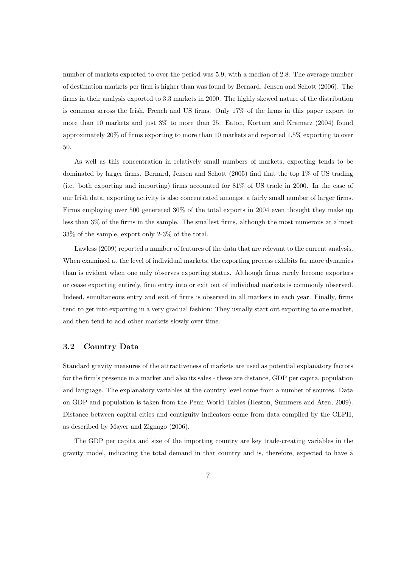number of markets exported to over the period was 5.9, with a median of 2.8. The average number of destination markets per firm is higher than was found by Bernard, Jensen and Schott (2006). The firms in their analysis exported to 3.3 markets in 2000. The highly skewed nature of the distribution is common across the Irish, French and US firms. Only 17% of the firms in this paper export to more than 10 markets and just 3% to more than 25. Eaton, Kortum and Kramarz (2004) found approximately 20% of firms exporting to more than 10 markets and reported 1.5% exporting to over 50.

As well as this concentration in relatively small numbers of markets, exporting tends to be dominated by larger firms. Bernard, Jensen and Schott (2005) find that the top 1% of US trading (i.e. both exporting and importing) firms accounted for 81% of US trade in 2000. In the case of our Irish data, exporting activity is also concentrated amongst a fairly small number of larger firms. Firms employing over 500 generated 30% of the total exports in 2004 even thought they make up less than 3% of the firms in the sample. The smallest firms, although the most numerous at almost 33% of the sample, export only 2-3% of the total.

Lawless (2009) reported a number of features of the data that are relevant to the current analysis. When examined at the level of individual markets, the exporting process exhibits far more dynamics than is evident when one only observes exporting status. Although firms rarely become exporters or cease exporting entirely, firm entry into or exit out of individual markets is commonly observed. Indeed, simultaneous entry and exit of firms is observed in all markets in each year. Finally, firms tend to get into exporting in a very gradual fashion: They usually start out exporting to one market, and then tend to add other markets slowly over time.

#### 3.2 Country Data

Standard gravity measures of the attractiveness of markets are used as potential explanatory factors for the firm's presence in a market and also its sales - these are distance, GDP per capita, population and language. The explanatory variables at the country level come from a number of sources. Data on GDP and population is taken from the Penn World Tables (Heston, Summers and Aten, 2009). Distance between capital cities and contiguity indicators come from data compiled by the CEPII, as described by Mayer and Zignago (2006).

The GDP per capita and size of the importing country are key trade-creating variables in the gravity model, indicating the total demand in that country and is, therefore, expected to have a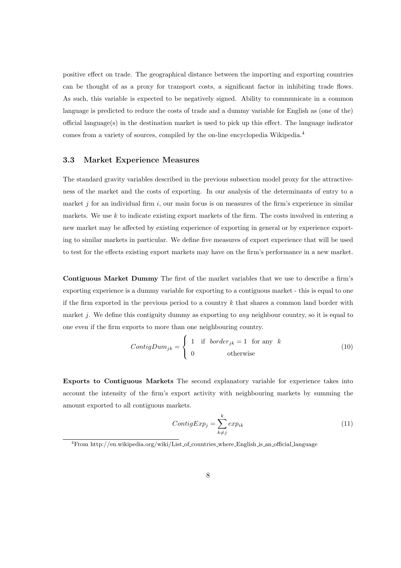positive effect on trade. The geographical distance between the importing and exporting countries can be thought of as a proxy for transport costs, a significant factor in inhibiting trade flows. As such, this variable is expected to be negatively signed. Ability to communicate in a common language is predicted to reduce the costs of trade and a dummy variable for English as (one of the) official language(s) in the destination market is used to pick up this effect. The language indicator comes from a variety of sources, compiled by the on-line encyclopedia Wikipedia.<sup>4</sup>

## 3.3 Market Experience Measures

The standard gravity variables described in the previous subsection model proxy for the attractiveness of the market and the costs of exporting. In our analysis of the determinants of entry to a market j for an individual firm i, our main focus is on measures of the firm's experience in similar markets. We use  $k$  to indicate existing export markets of the firm. The costs involved in entering a new market may be affected by existing experience of exporting in general or by experience exporting to similar markets in particular. We define five measures of export experience that will be used to test for the effects existing export markets may have on the firm's performance in a new market.

Contiguous Market Dummy The first of the market variables that we use to describe a firm's exporting experience is a dummy variable for exporting to a contiguous market - this is equal to one if the firm exported in the previous period to a country  $k$  that shares a common land border with market j. We define this contiguity dummy as exporting to *any* neighbour country, so it is equal to one even if the firm exports to more than one neighbouring country.

$$
ContigDum_{jk} = \begin{cases} 1 & \text{if } border_{jk} = 1 \text{ for any } k \\ 0 & \text{otherwise} \end{cases}
$$
 (10)

Exports to Contiguous Markets The second explanatory variable for experience takes into account the intensity of the firm's export activity with neighbouring markets by summing the amount exported to all contiguous markets.

$$
ConfigExp_j = \sum_{k \neq j}^{k} exp_{ik} \tag{11}
$$

<sup>4</sup>From http://en.wikipedia.org/wiki/List of countries where English is an official language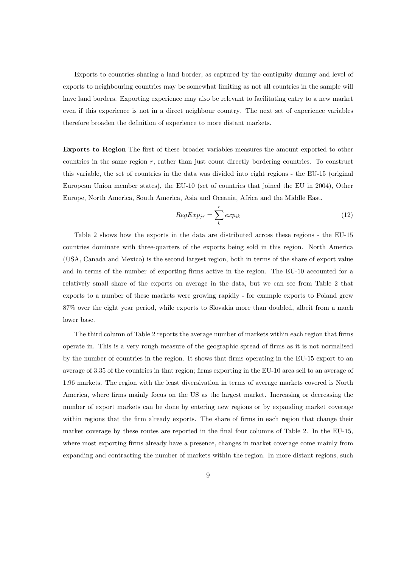Exports to countries sharing a land border, as captured by the contiguity dummy and level of exports to neighbouring countries may be somewhat limiting as not all countries in the sample will have land borders. Exporting experience may also be relevant to facilitating entry to a new market even if this experience is not in a direct neighbour country. The next set of experience variables therefore broaden the definition of experience to more distant markets.

Exports to Region The first of these broader variables measures the amount exported to other countries in the same region r, rather than just count directly bordering countries. To construct this variable, the set of countries in the data was divided into eight regions - the EU-15 (original European Union member states), the EU-10 (set of countries that joined the EU in 2004), Other Europe, North America, South America, Asia and Oceania, Africa and the Middle East.

$$
RegExp_{jr} = \sum_{k}^{r} exp_{ik}
$$
 (12)

Table 2 shows how the exports in the data are distributed across these regions - the EU-15 countries dominate with three-quarters of the exports being sold in this region. North America (USA, Canada and Mexico) is the second largest region, both in terms of the share of export value and in terms of the number of exporting firms active in the region. The EU-10 accounted for a relatively small share of the exports on average in the data, but we can see from Table 2 that exports to a number of these markets were growing rapidly - for example exports to Poland grew 87% over the eight year period, while exports to Slovakia more than doubled, albeit from a much lower base.

The third column of Table 2 reports the average number of markets within each region that firms operate in. This is a very rough measure of the geographic spread of firms as it is not normalised by the number of countries in the region. It shows that firms operating in the EU-15 export to an average of 3.35 of the countries in that region; firms exporting in the EU-10 area sell to an average of 1.96 markets. The region with the least diversivation in terms of average markets covered is North America, where firms mainly focus on the US as the largest market. Increasing or decreasing the number of export markets can be done by entering new regions or by expanding market coverage within regions that the firm already exports. The share of firms in each region that change their market coverage by these routes are reported in the final four columns of Table 2. In the EU-15, where most exporting firms already have a presence, changes in market coverage come mainly from expanding and contracting the number of markets within the region. In more distant regions, such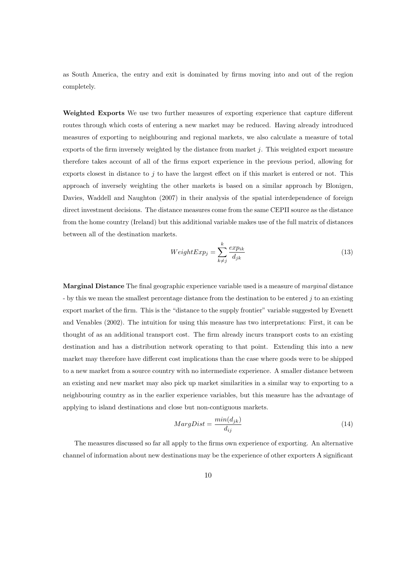as South America, the entry and exit is dominated by firms moving into and out of the region completely.

Weighted Exports We use two further measures of exporting experience that capture different routes through which costs of entering a new market may be reduced. Having already introduced measures of exporting to neighbouring and regional markets, we also calculate a measure of total exports of the firm inversely weighted by the distance from market  $j$ . This weighted export measure therefore takes account of all of the firms export experience in the previous period, allowing for exports closest in distance to  $j$  to have the largest effect on if this market is entered or not. This approach of inversely weighting the other markets is based on a similar approach by Blonigen, Davies, Waddell and Naughton (2007) in their analysis of the spatial interdependence of foreign direct investment decisions. The distance measures come from the same CEPII source as the distance from the home country (Ireland) but this additional variable makes use of the full matrix of distances between all of the destination markets.

$$
WeightExp_j = \sum_{k \neq j}^{k} \frac{exp_{ik}}{d_{jk}} \tag{13}
$$

Marginal Distance The final geographic experience variable used is a measure of *marginal* distance - by this we mean the smallest percentage distance from the destination to be entered j to an existing export market of the firm. This is the "distance to the supply frontier" variable suggested by Evenett and Venables (2002). The intuition for using this measure has two interpretations: First, it can be thought of as an additional transport cost. The firm already incurs transport costs to an existing destination and has a distribution network operating to that point. Extending this into a new market may therefore have different cost implications than the case where goods were to be shipped to a new market from a source country with no intermediate experience. A smaller distance between an existing and new market may also pick up market similarities in a similar way to exporting to a neighbouring country as in the earlier experience variables, but this measure has the advantage of applying to island destinations and close but non-contiguous markets.

$$
MargDist = \frac{\min(d_{jk})}{d_{ij}}\tag{14}
$$

The measures discussed so far all apply to the firms own experience of exporting. An alternative channel of information about new destinations may be the experience of other exporters A significant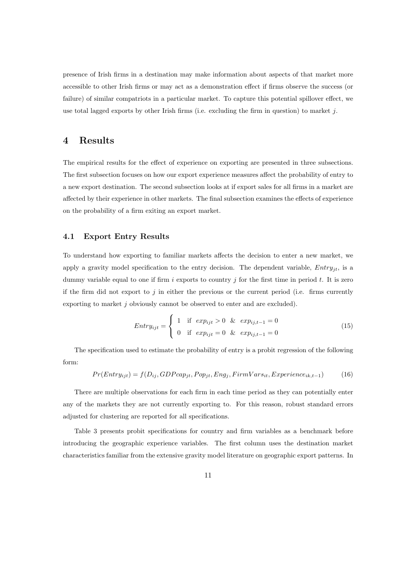presence of Irish firms in a destination may make information about aspects of that market more accessible to other Irish firms or may act as a demonstration effect if firms observe the success (or failure) of similar compatriots in a particular market. To capture this potential spillover effect, we use total lagged exports by other Irish firms (i.e. excluding the firm in question) to market  $j$ .

## 4 Results

The empirical results for the effect of experience on exporting are presented in three subsections. The first subsection focuses on how our export experience measures affect the probability of entry to a new export destination. The second subsection looks at if export sales for all firms in a market are affected by their experience in other markets. The final subsection examines the effects of experience on the probability of a firm exiting an export market.

#### 4.1 Export Entry Results

To understand how exporting to familiar markets affects the decision to enter a new market, we apply a gravity model specification to the entry decision. The dependent variable,  $Entry_{it}$ , is a dummy variable equal to one if firm i exports to country j for the first time in period  $t$ . It is zero if the firm did not export to j in either the previous or the current period (i.e. firms currently exporting to market j obviously cannot be observed to enter and are excluded).

$$
Entry_{ijt} = \begin{cases} 1 & \text{if } exp_{ijt} > 0 \& exp_{ij,t-1} = 0 \\ 0 & \text{if } exp_{ijt} = 0 \& exp_{ij,t-1} = 0 \end{cases}
$$
 (15)

The specification used to estimate the probability of entry is a probit regression of the following form:

$$
Pr(Entry_{ijt}) = f(D_{ij}, GDPcap_{jt}, Pop_{jt}, Eng_j, FirmVars_{it}, Experience_{ik,t-1})
$$
 (16)

There are multiple observations for each firm in each time period as they can potentially enter any of the markets they are not currently exporting to. For this reason, robust standard errors adjusted for clustering are reported for all specifications.

Table 3 presents probit specifications for country and firm variables as a benchmark before introducing the geographic experience variables. The first column uses the destination market characteristics familiar from the extensive gravity model literature on geographic export patterns. In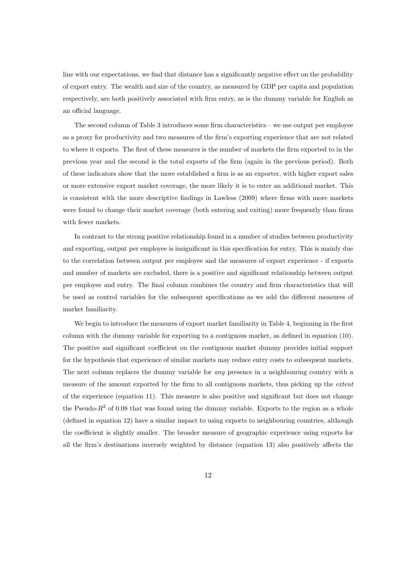line with our expectations, we find that distance has a significantly negative effect on the probability of export entry. The wealth and size of the country, as measured by GDP per capita and population respectively, are both positively associated with firm entry, as is the dummy variable for English as an official language.

The second column of Table 3 introduces some firm characteristics – we use output per employee as a proxy for productivity and two measures of the firm's exporting experience that are not related to where it exports. The first of these measures is the number of markets the firm exported to in the previous year and the second is the total exports of the firm (again in the previous period). Both of these indicators show that the more established a firm is as an exporter, with higher export sales or more extensive export market coverage, the more likely it is to enter an additional market. This is consistent with the more descriptive findings in Lawless (2009) where firms with more markets were found to change their market coverage (both entering and exiting) more frequently than firms with fewer markets.

In contrast to the strong positive relationship found in a number of studies between productivity and exporting, output per employee is insignificant in this specification for entry. This is mainly due to the correlation between output per employee and the measures of export experience - if exports and number of markets are excluded, there is a positive and significant relationship between output per employee and entry. The final column combines the country and firm characteristics that will be used as control variables for the subsequent specifications as we add the different measures of market familiarity.

We begin to introduce the measures of export market familiarity in Table 4, beginning in the first column with the dummy variable for exporting to a contiguous market, as defined in equation (10). The positive and significant coefficient on the contiguous market dummy provides initial support for the hypothesis that experience of similar markets may reduce entry costs to subsequent markets. The next column replaces the dummy variable for *any* presence in a neighbouring country with a measure of the amount exported by the firm to all contiguous markets, thus picking up the extent of the experience (equation 11). This measure is also positive and significant but does not change the Pseudo- $R<sup>2</sup>$  of 0.08 that was found using the dummy variable. Exports to the region as a whole (defined in equation 12) have a similar impact to using exports to neighbouring countries, although the coefficient is slightly smaller. The broader measure of geographic experience using exports for all the firm's destinations inversely weighted by distance (equation 13) also positively affects the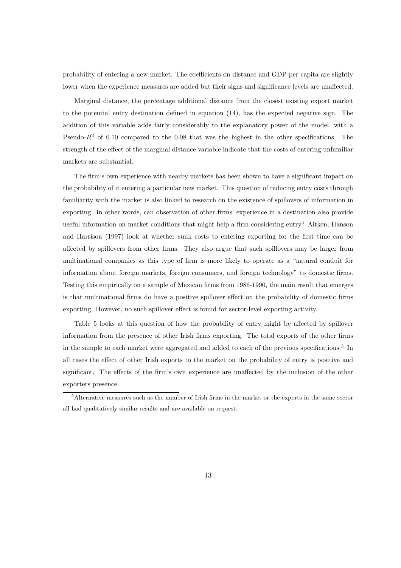probability of entering a new market. The coefficients on distance and GDP per capita are slightly lower when the experience measures are added but their signs and significance levels are unaffected.

Marginal distance, the percentage additional distance from the closest existing export market to the potential entry destination defined in equation (14), has the expected negative sign. The addition of this variable adds fairly considerably to the explanatory power of the model, with a Pseudo- $R^2$  of 0.10 compared to the 0.08 that was the highest in the other specifications. The strength of the effect of the marginal distance variable indicate that the costs of entering unfamiliar markets are substantial.

The firm's own experience with nearby markets has been shown to have a significant impact on the probability of it entering a particular new market. This question of reducing entry costs through familiarity with the market is also linked to research on the existence of spillovers of information in exporting. In other words, can observation of other firms' experience in a destination also provide useful information on market conditions that might help a firm considering entry? Aitken, Hanson and Harrison (1997) look at whether sunk costs to entering exporting for the first time can be affected by spillovers from other firms. They also argue that such spillovers may be larger from multinational companies as this type of firm is more likely to operate as a "natural conduit for information about foreign markets, foreign consumers, and foreign technology" to domestic firms. Testing this empirically on a sample of Mexican firms from 1986-1990, the main result that emerges is that multinational firms do have a positive spillover effect on the probability of domestic firms exporting. However, no such spillover effect is found for sector-level exporting activity.

Table 5 looks at this question of how the probability of entry might be affected by spillover information from the presence of other Irish firms exporting. The total exports of the other firms in the sample to each market were aggregated and added to each of the previous specifications.<sup>5</sup> In all cases the effect of other Irish exports to the market on the probability of entry is positive and significant. The effects of the firm's own experience are unaffected by the inclusion of the other exporters presence.

<sup>5</sup>Alternative measures such as the number of Irish firms in the market or the exports in the same sector all had qualitatively similar results and are available on request.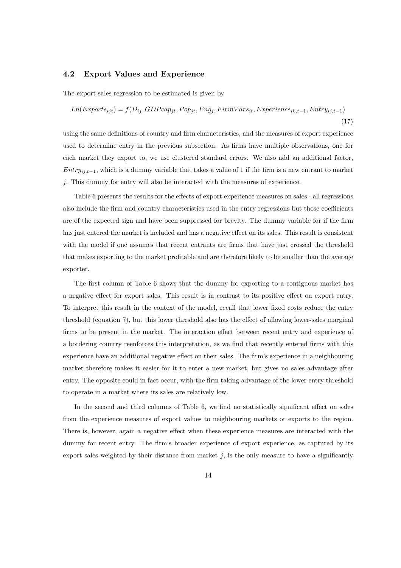#### 4.2 Export Values and Experience

The export sales regression to be estimated is given by

$$
Ln(Exports_{ijt}) = f(D_{ij}, GDPcap_{jt}, Pop_{jt}, Eng_j, FirmVars_{it}, Experience_{ik,t-1}, Entry_{ij,t-1})
$$
\n(17)

using the same definitions of country and firm characteristics, and the measures of export experience used to determine entry in the previous subsection. As firms have multiple observations, one for each market they export to, we use clustered standard errors. We also add an additional factor,  $Entry_{i,i-1}$ , which is a dummy variable that takes a value of 1 if the firm is a new entrant to market  $j$ . This dummy for entry will also be interacted with the measures of experience.

Table 6 presents the results for the effects of export experience measures on sales - all regressions also include the firm and country characteristics used in the entry regressions but those coefficients are of the expected sign and have been suppressed for brevity. The dummy variable for if the firm has just entered the market is included and has a negative effect on its sales. This result is consistent with the model if one assumes that recent entrants are firms that have just crossed the threshold that makes exporting to the market profitable and are therefore likely to be smaller than the average exporter.

The first column of Table 6 shows that the dummy for exporting to a contiguous market has a negative effect for export sales. This result is in contrast to its positive effect on export entry. To interpret this result in the context of the model, recall that lower fixed costs reduce the entry threshold (equation 7), but this lower threshold also has the effect of allowing lower-sales marginal firms to be present in the market. The interaction effect between recent entry and experience of a bordering country reenforces this interpretation, as we find that recently entered firms with this experience have an additional negative effect on their sales. The firm's experience in a neighbouring market therefore makes it easier for it to enter a new market, but gives no sales advantage after entry. The opposite could in fact occur, with the firm taking advantage of the lower entry threshold to operate in a market where its sales are relatively low.

In the second and third columns of Table 6, we find no statistically significant effect on sales from the experience measures of export values to neighbouring markets or exports to the region. There is, however, again a negative effect when these experience measures are interacted with the dummy for recent entry. The firm's broader experience of export experience, as captured by its export sales weighted by their distance from market  $j$ , is the only measure to have a significantly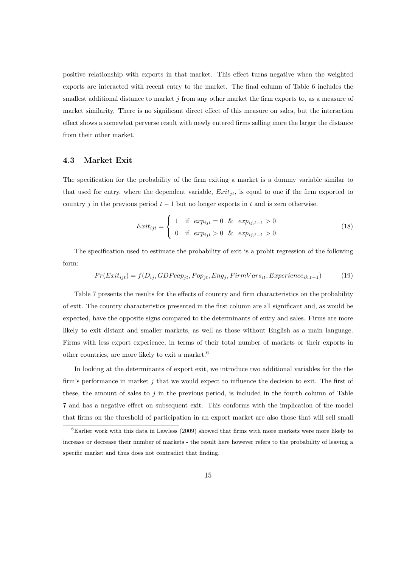positive relationship with exports in that market. This effect turns negative when the weighted exports are interacted with recent entry to the market. The final column of Table 6 includes the smallest additional distance to market  $j$  from any other market the firm exports to, as a measure of market similarity. There is no significant direct effect of this measure on sales, but the interaction effect shows a somewhat perverse result with newly entered firms selling more the larger the distance from their other market.

#### 4.3 Market Exit

The specification for the probability of the firm exiting a market is a dummy variable similar to that used for entry, where the dependent variable,  $Exit_{it}$ , is equal to one if the firm exported to country j in the previous period  $t-1$  but no longer exports in t and is zero otherwise.

$$
Exit_{ijt} = \begin{cases} 1 & \text{if } exp_{ijt} = 0 \& exp_{ij,t-1} > 0 \\ 0 & \text{if } exp_{ijt} > 0 \& exp_{ij,t-1} > 0 \end{cases}
$$
 (18)

The specification used to estimate the probability of exit is a probit regression of the following form:

$$
Pr(Exit_{ijt}) = f(D_{ij}, GDPcap_{jt}, Pop_{jt}, Eng_j, FirmVars_{it}, Experience_{ik,t-1})
$$
(19)

Table 7 presents the results for the effects of country and firm characteristics on the probability of exit. The country characteristics presented in the first column are all significant and, as would be expected, have the opposite signs compared to the determinants of entry and sales. Firms are more likely to exit distant and smaller markets, as well as those without English as a main language. Firms with less export experience, in terms of their total number of markets or their exports in other countries, are more likely to exit a market.<sup>6</sup>

In looking at the determinants of export exit, we introduce two additional variables for the the firm's performance in market j that we would expect to influence the decision to exit. The first of these, the amount of sales to  $j$  in the previous period, is included in the fourth column of Table 7 and has a negative effect on subsequent exit. This conforms with the implication of the model that firms on the threshold of participation in an export market are also those that will sell small

 ${}^{6}$ Earlier work with this data in Lawless (2009) showed that firms with more markets were more likely to increase or decrease their number of markets - the result here however refers to the probability of leaving a specific market and thus does not contradict that finding.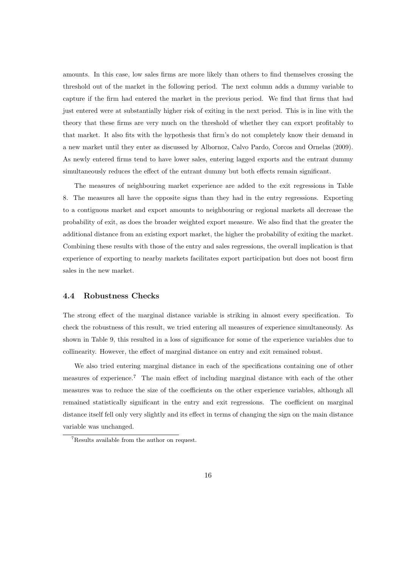amounts. In this case, low sales firms are more likely than others to find themselves crossing the threshold out of the market in the following period. The next column adds a dummy variable to capture if the firm had entered the market in the previous period. We find that firms that had just entered were at substantially higher risk of exiting in the next period. This is in line with the theory that these firms are very much on the threshold of whether they can export profitably to that market. It also fits with the hypothesis that firm's do not completely know their demand in a new market until they enter as discussed by Albornoz, Calvo Pardo, Corcos and Ornelas (2009). As newly entered firms tend to have lower sales, entering lagged exports and the entrant dummy simultaneously reduces the effect of the entrant dummy but both effects remain significant.

The measures of neighbouring market experience are added to the exit regressions in Table 8. The measures all have the opposite signs than they had in the entry regressions. Exporting to a contiguous market and export amounts to neighbouring or regional markets all decrease the probability of exit, as does the broader weighted export measure. We also find that the greater the additional distance from an existing export market, the higher the probability of exiting the market. Combining these results with those of the entry and sales regressions, the overall implication is that experience of exporting to nearby markets facilitates export participation but does not boost firm sales in the new market.

#### 4.4 Robustness Checks

The strong effect of the marginal distance variable is striking in almost every specification. To check the robustness of this result, we tried entering all measures of experience simultaneously. As shown in Table 9, this resulted in a loss of significance for some of the experience variables due to collinearity. However, the effect of marginal distance on entry and exit remained robust.

We also tried entering marginal distance in each of the specifications containing one of other measures of experience.<sup>7</sup> The main effect of including marginal distance with each of the other measures was to reduce the size of the coefficients on the other experience variables, although all remained statistically significant in the entry and exit regressions. The coefficient on marginal distance itself fell only very slightly and its effect in terms of changing the sign on the main distance variable was unchanged.

<sup>7</sup>Results available from the author on request.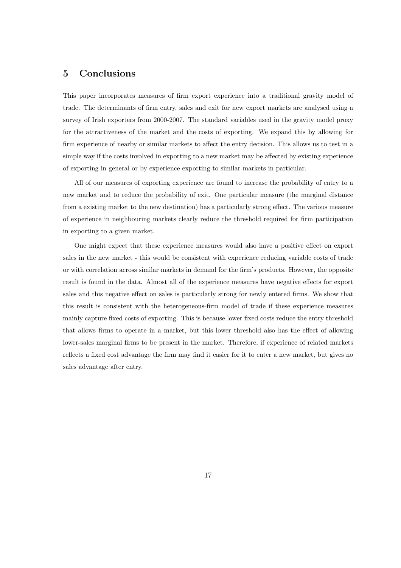## 5 Conclusions

This paper incorporates measures of firm export experience into a traditional gravity model of trade. The determinants of firm entry, sales and exit for new export markets are analysed using a survey of Irish exporters from 2000-2007. The standard variables used in the gravity model proxy for the attractiveness of the market and the costs of exporting. We expand this by allowing for firm experience of nearby or similar markets to affect the entry decision. This allows us to test in a simple way if the costs involved in exporting to a new market may be affected by existing experience of exporting in general or by experience exporting to similar markets in particular.

All of our measures of exporting experience are found to increase the probability of entry to a new market and to reduce the probability of exit. One particular measure (the marginal distance from a existing market to the new destination) has a particularly strong effect. The various measure of experience in neighbouring markets clearly reduce the threshold required for firm participation in exporting to a given market.

One might expect that these experience measures would also have a positive effect on export sales in the new market - this would be consistent with experience reducing variable costs of trade or with correlation across similar markets in demand for the firm's products. However, the opposite result is found in the data. Almost all of the experience measures have negative effects for export sales and this negative effect on sales is particularly strong for newly entered firms. We show that this result is consistent with the heterogeneous-firm model of trade if these experience measures mainly capture fixed costs of exporting. This is because lower fixed costs reduce the entry threshold that allows firms to operate in a market, but this lower threshold also has the effect of allowing lower-sales marginal firms to be present in the market. Therefore, if experience of related markets reflects a fixed cost advantage the firm may find it easier for it to enter a new market, but gives no sales advantage after entry.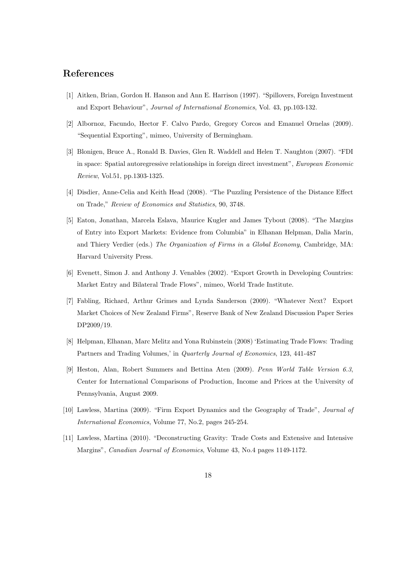## References

- [1] Aitken, Brian, Gordon H. Hanson and Ann E. Harrison (1997). "Spillovers, Foreign Investment and Export Behaviour", Journal of International Economics, Vol. 43, pp.103-132.
- [2] Albornoz, Facundo, Hector F. Calvo Pardo, Gregory Corcos and Emanuel Ornelas (2009). "Sequential Exporting", mimeo, University of Bermingham.
- [3] Blonigen, Bruce A., Ronald B. Davies, Glen R. Waddell and Helen T. Naughton (2007). "FDI in space: Spatial autoregressive relationships in foreign direct investment", European Economic Review, Vol.51, pp.1303-1325.
- [4] Disdier, Anne-Celia and Keith Head (2008). "The Puzzling Persistence of the Distance Effect on Trade," Review of Economics and Statistics, 90, 3748.
- [5] Eaton, Jonathan, Marcela Eslava, Maurice Kugler and James Tybout (2008). "The Margins of Entry into Export Markets: Evidence from Columbia" in Elhanan Helpman, Dalia Marin, and Thiery Verdier (eds.) The Organization of Firms in a Global Economy, Cambridge, MA: Harvard University Press.
- [6] Evenett, Simon J. and Anthony J. Venables (2002). "Export Growth in Developing Countries: Market Entry and Bilateral Trade Flows", mimeo, World Trade Institute.
- [7] Fabling, Richard, Arthur Grimes and Lynda Sanderson (2009). "Whatever Next? Export Market Choices of New Zealand Firms", Reserve Bank of New Zealand Discussion Paper Series DP2009/19.
- [8] Helpman, Elhanan, Marc Melitz and Yona Rubinstein (2008) 'Estimating Trade Flows: Trading Partners and Trading Volumes,' in Quarterly Journal of Economics, 123, 441-487
- [9] Heston, Alan, Robert Summers and Bettina Aten (2009). Penn World Table Version 6.3, Center for International Comparisons of Production, Income and Prices at the University of Pennsylvania, August 2009.
- [10] Lawless, Martina (2009). "Firm Export Dynamics and the Geography of Trade", Journal of International Economics, Volume 77, No.2, pages 245-254.
- [11] Lawless, Martina (2010). "Deconstructing Gravity: Trade Costs and Extensive and Intensive Margins", Canadian Journal of Economics, Volume 43, No.4 pages 1149-1172.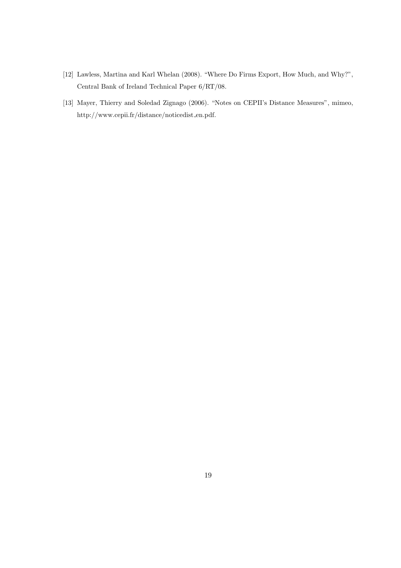- [12] Lawless, Martina and Karl Whelan (2008). "Where Do Firms Export, How Much, and Why?", Central Bank of Ireland Technical Paper 6/RT/08.
- [13] Mayer, Thierry and Soledad Zignago (2006). "Notes on CEPII's Distance Measures", mimeo, http://www.cepii.fr/distance/noticedist en.pdf.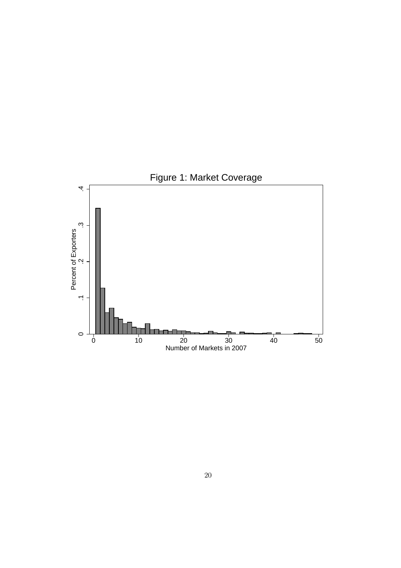

20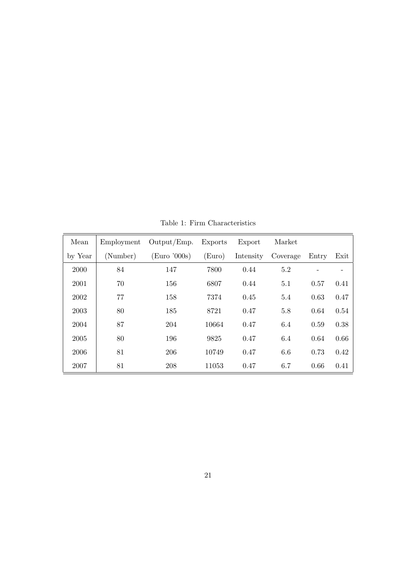| Mean    | Employment | Output/Emp. | Exports | Export    | Market   |       |      |
|---------|------------|-------------|---------|-----------|----------|-------|------|
| by Year | (Number)   | (Euro'000s) | (Euro)  | Intensity | Coverage | Entry | Exit |
| 2000    | 84         | 147         | 7800    | 0.44      | 5.2      |       |      |
| 2001    | 70         | 156         | 6807    | 0.44      | 5.1      | 0.57  | 0.41 |
| 2002    | 77         | 158         | 7374    | 0.45      | 5.4      | 0.63  | 0.47 |
| 2003    | 80         | 185         | 8721    | 0.47      | 5.8      | 0.64  | 0.54 |
| 2004    | 87         | 204         | 10664   | 0.47      | 6.4      | 0.59  | 0.38 |
| 2005    | 80         | 196         | 9825    | 0.47      | 6.4      | 0.64  | 0.66 |
| 2006    | 81         | 206         | 10749   | 0.47      | 6.6      | 0.73  | 0.42 |
| 2007    | 81         | 208         | 11053   | 0.47      | 6.7      | 0.66  | 0.41 |

Table 1: Firm Characteristics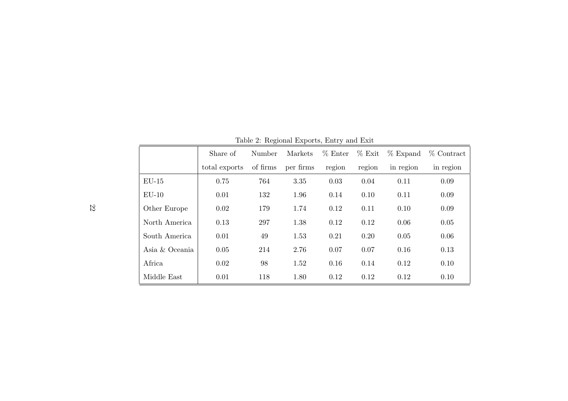|                | Share of      | Number   | Markets   | % Enter | $%$ Exit | % Expand  | % Contract |
|----------------|---------------|----------|-----------|---------|----------|-----------|------------|
|                | total exports | of firms | per firms | region  | region   | in region | in region  |
| $EU-15$        | 0.75          | 764      | 3.35      | 0.03    | 0.04     | 0.11      | 0.09       |
| $EU-10$        | 0.01          | 132      | 1.96      | 0.14    | 0.10     | 0.11      | 0.09       |
| Other Europe   | 0.02          | 179      | 1.74      | 0.12    | 0.11     | 0.10      | 0.09       |
| North America  | 0.13          | 297      | 1.38      | 0.12    | 0.12     | 0.06      | 0.05       |
| South America  | 0.01          | 49       | 1.53      | 0.21    | 0.20     | 0.05      | 0.06       |
| Asia & Oceania | 0.05          | 214      | 2.76      | 0.07    | 0.07     | 0.16      | 0.13       |
| Africa         | 0.02          | 98       | 1.52      | 0.16    | 0.14     | 0.12      | 0.10       |
| Middle East    | 0.01          | 118      | 1.80      | 0.12    | 0.12     | 0.12      | 0.10       |

Table 2: Regional Exports, Entry and Exit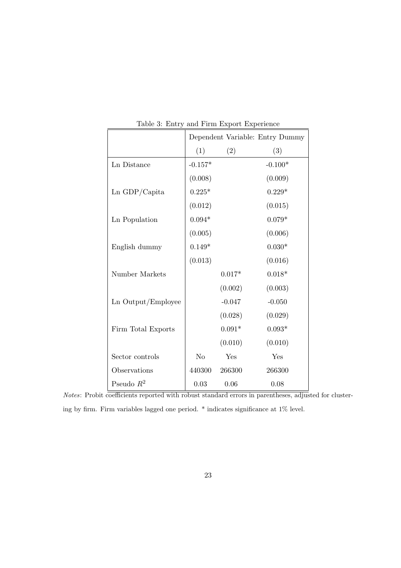|                    |                |          | Dependent Variable: Entry Dummy |
|--------------------|----------------|----------|---------------------------------|
|                    | (1)            | (2)      | (3)                             |
| Ln Distance        | $-0.157*$      |          | $-0.100*$                       |
|                    | (0.008)        |          | (0.009)                         |
| $Ln$ GDP/Capita    | $0.225*$       |          | $0.229*$                        |
|                    | (0.012)        |          | (0.015)                         |
| Ln Population      | $0.094*$       |          | $0.079*$                        |
|                    | (0.005)        |          | (0.006)                         |
| English dummy      | $0.149*$       |          | $0.030*$                        |
|                    | (0.013)        |          | (0.016)                         |
| Number Markets     |                | $0.017*$ | $0.018*$                        |
|                    |                | (0.002)  | (0.003)                         |
| Ln Output/Employee |                | $-0.047$ | $-0.050$                        |
|                    |                | (0.028)  | (0.029)                         |
| Firm Total Exports |                | $0.091*$ | $0.093*$                        |
|                    |                | (0.010)  | (0.010)                         |
| Sector controls    | N <sub>o</sub> | Yes      | Yes                             |
| Observations       | 440300         | 266300   | 266300                          |
| Pseudo $R^2$       | 0.03           | 0.06     | 0.08                            |

Table 3: Entry and Firm Export Experience

Notes: Probit coefficients reported with robust standard errors in parentheses, adjusted for clustering by firm. Firm variables lagged one period. \* indicates significance at 1% level.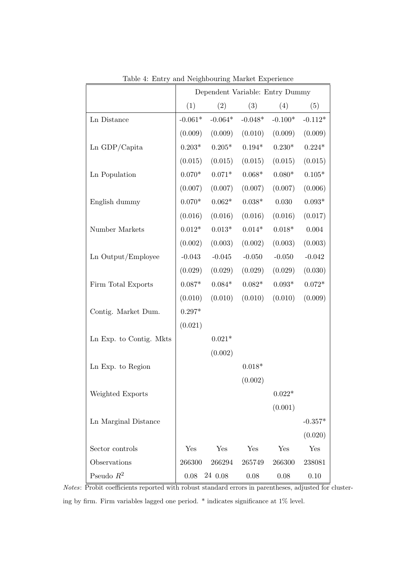|                         |           | Dependent Variable: Entry Dummy |           |           |           |
|-------------------------|-----------|---------------------------------|-----------|-----------|-----------|
|                         | (1)       | (2)                             | (3)       | (4)       | (5)       |
| Ln Distance             | $-0.061*$ | $-0.064*$                       | $-0.048*$ | $-0.100*$ | $-0.112*$ |
|                         | (0.009)   | (0.009)                         | (0.010)   | (0.009)   | (0.009)   |
| $Ln$ GDP/Capita         | $0.203*$  | $0.205*$                        | $0.194*$  | $0.230*$  | $0.224*$  |
|                         | (0.015)   | (0.015)                         | (0.015)   | (0.015)   | (0.015)   |
| Ln Population           | $0.070*$  | $0.071^{\ast}$                  | $0.068*$  | $0.080*$  | $0.105*$  |
|                         | (0.007)   | (0.007)                         | (0.007)   | (0.007)   | (0.006)   |
| English dummy           | $0.070*$  | $0.062^{\ast}$                  | $0.038*$  | 0.030     | $0.093*$  |
|                         | (0.016)   | (0.016)                         | (0.016)   | (0.016)   | (0.017)   |
| Number Markets          | $0.012*$  | $0.013*$                        | $0.014*$  | $0.018*$  | 0.004     |
|                         | (0.002)   | (0.003)                         | (0.002)   | (0.003)   | (0.003)   |
| Ln Output/Employee      | $-0.043$  | $-0.045$                        | $-0.050$  | $-0.050$  | $-0.042$  |
|                         | (0.029)   | (0.029)                         | (0.029)   | (0.029)   | (0.030)   |
| Firm Total Exports      | $0.087*$  | $0.084*$                        | $0.082*$  | $0.093*$  | $0.072*$  |
|                         | (0.010)   | (0.010)                         | (0.010)   | (0.010)   | (0.009)   |
| Contig. Market Dum.     | $0.297*$  |                                 |           |           |           |
|                         | (0.021)   |                                 |           |           |           |
| Ln Exp. to Contig. Mkts |           | $0.021*$                        |           |           |           |
|                         |           | (0.002)                         |           |           |           |
| Ln Exp. to Region       |           |                                 | $0.018*$  |           |           |
|                         |           |                                 | (0.002)   |           |           |
| Weighted Exports        |           |                                 |           | $0.022*$  |           |
|                         |           |                                 |           | (0.001)   |           |
| Ln Marginal Distance    |           |                                 |           |           | $-0.357*$ |
|                         |           |                                 |           |           | (0.020)   |
| Sector controls         | Yes       | Yes                             | Yes       | Yes       | Yes       |
| Observations            | 266300    | 266294                          | 265749    | 266300    | 238081    |
| Pseudo $R^2$            | 0.08      | 24 0.08                         | 0.08      | 0.08      | 0.10      |

Table 4: Entry and Neighbouring Market Experience

Notes: Probit coefficients reported with robust standard errors in parentheses, adjusted for clustering by firm. Firm variables lagged one period. \* indicates significance at 1% level.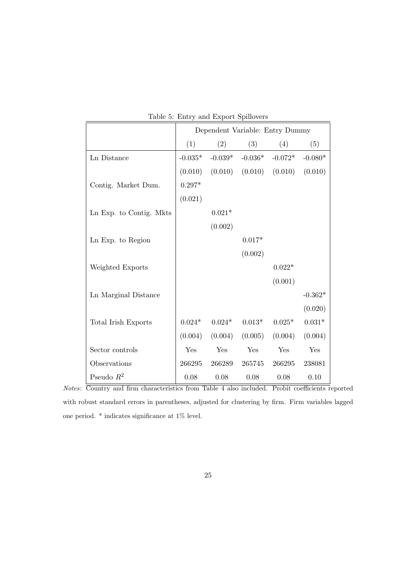|                         |           | Dependent Variable: Entry Dummy |          |                               |           |
|-------------------------|-----------|---------------------------------|----------|-------------------------------|-----------|
|                         | (1)       | (2)                             | (3)      | (4)                           | (5)       |
| Ln Distance             | $-0.035*$ |                                 |          | $-0.039*$ $-0.036*$ $-0.072*$ | $-0.080*$ |
|                         | (0.010)   |                                 |          | $(0.010)$ $(0.010)$ $(0.010)$ | (0.010)   |
| Contig. Market Dum.     | $0.297*$  |                                 |          |                               |           |
|                         | (0.021)   |                                 |          |                               |           |
| Ln Exp. to Contig. Mkts |           | $0.021*$                        |          |                               |           |
|                         |           | (0.002)                         |          |                               |           |
| Ln Exp. to Region       |           |                                 | $0.017*$ |                               |           |
|                         |           |                                 | (0.002)  |                               |           |
| Weighted Exports        |           |                                 |          | $0.022*$                      |           |
|                         |           |                                 |          | (0.001)                       |           |
| Ln Marginal Distance    |           |                                 |          |                               | $-0.362*$ |
|                         |           |                                 |          |                               | (0.020)   |
| Total Irish Exports     | $0.024*$  | $0.024*$                        | $0.013*$ | $0.025*$                      | $0.031*$  |
|                         | (0.004)   | (0.004)                         | (0.005)  | (0.004)                       | (0.004)   |
| Sector controls         | Yes       | Yes                             | Yes      | Yes                           | Yes       |
| Observations            | 266295    | 266289                          | 265745   | 266295                        | 238081    |
| Pseudo $R^2$            | 0.08      | 0.08                            | 0.08     | 0.08                          | 0.10      |

Table 5: Entry and Export Spillovers

Notes: Country and firm characteristics from Table 4 also included. Probit coefficients reported with robust standard errors in parentheses, adjusted for clustering by firm. Firm variables lagged one period.  $^*$  indicates significance at  $1\%$  level.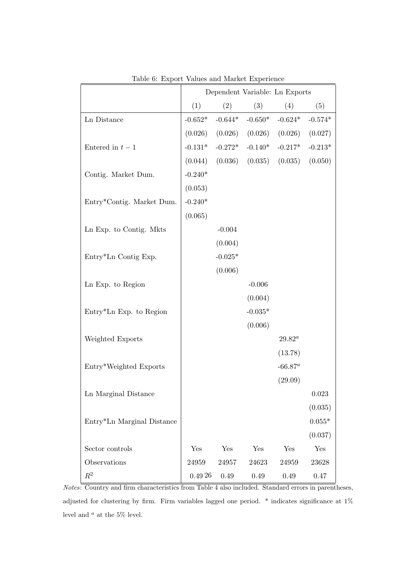|                                      | Dependent Variable: Ln Exports |           |                               |                     |             |
|--------------------------------------|--------------------------------|-----------|-------------------------------|---------------------|-------------|
|                                      | (1)                            | (2)       | (3)                           | (4)                 | (5)         |
| Ln Distance                          | $-0.652*$                      | $-0.644*$ | $-0.650*$                     | $-0.624*$           | $-0.574*$   |
|                                      | (0.026)                        |           | $(0.026)$ $(0.026)$           | $(0.026)$ $(0.027)$ |             |
| Entered in $t-1$                     | $-0.131*$                      |           | $-0.272*$ $-0.140*$           | $-0.217*$           | $-0.213*$   |
|                                      |                                |           | $(0.044)$ $(0.036)$ $(0.035)$ | (0.035)             | (0.050)     |
| Contig. Market Dum.                  | $-0.240*$                      |           |                               |                     |             |
|                                      | (0.053)                        |           |                               |                     |             |
| Entry*Contig. Market Dum.            | $-0.240*$                      |           |                               |                     |             |
|                                      | (0.065)                        |           |                               |                     |             |
| Ln Exp. to Contig. Mkts              |                                | $-0.004$  |                               |                     |             |
|                                      |                                | (0.004)   |                               |                     |             |
| Entry*Ln Contig Exp.                 |                                | $-0.025*$ |                               |                     |             |
|                                      |                                | (0.006)   |                               |                     |             |
| Ln Exp. to Region                    |                                |           | $-0.006$                      |                     |             |
|                                      |                                |           | (0.004)                       |                     |             |
| Entry <sup>*</sup> Ln Exp. to Region |                                |           | $-0.035*$                     |                     |             |
|                                      |                                |           | (0.006)                       |                     |             |
| Weighted Exports                     |                                |           |                               | $29.82^a$           |             |
|                                      |                                |           |                               | (13.78)             |             |
| Entry*Weighted Exports               |                                |           |                               | $-66.87^a$          |             |
|                                      |                                |           |                               | (29.09)             |             |
| Ln Marginal Distance                 |                                |           |                               |                     | $\,0.023\,$ |
|                                      |                                |           |                               |                     | (0.035)     |
| Entry*Ln Marginal Distance           |                                |           |                               |                     | $0.055*$    |
|                                      |                                |           |                               |                     | (0.037)     |
| Sector controls                      | Yes                            | Yes       | Yes                           | Yes                 | Yes         |
| Observations                         | 24959                          | 24957     | 24623                         | 24959               | 23628       |
| $R^2$                                | 0.4926                         | 0.49      | $0.49\,$                      | 0.49                | $0.47\,$    |

Table 6: Export Values and Market Experience

Notes: Country and firm characteristics from Table 4 also included. Standard errors in parentheses, adjusted for clustering by firm. Firm variables lagged one period. \* indicates significance at 1% level and  $^a$  at the  $5\%$  level.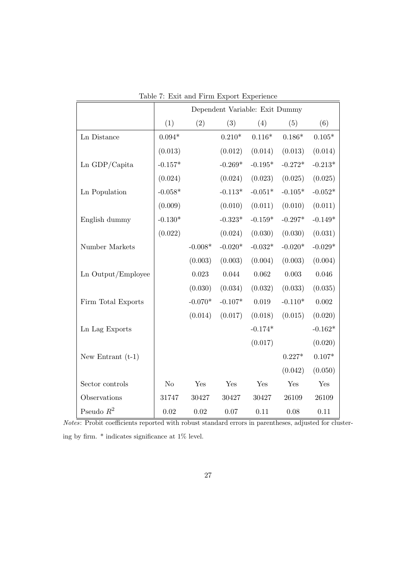|                     |                |           |           | Dependent Variable: Exit Dummy |           |           |
|---------------------|----------------|-----------|-----------|--------------------------------|-----------|-----------|
|                     | (1)            | (2)       | (3)       | (4)                            | (5)       | (6)       |
| Ln Distance         | $0.094*$       |           | $0.210*$  | $0.116*$                       | $0.186*$  | $0.105*$  |
|                     | (0.013)        |           | (0.012)   | (0.014)                        | (0.013)   | (0.014)   |
| Ln GDP/Capita       | $-0.157*$      |           | $-0.269*$ | $-0.195*$                      | $-0.272*$ | $-0.213*$ |
|                     | (0.024)        |           | (0.024)   | (0.023)                        | (0.025)   | (0.025)   |
| Ln Population       | $-0.058*$      |           | $-0.113*$ | $-0.051*$                      | $-0.105*$ | $-0.052*$ |
|                     | (0.009)        |           | (0.010)   | (0.011)                        | (0.010)   | (0.011)   |
| English dummy       | $-0.130*$      |           | $-0.323*$ | $-0.159*$                      | $-0.297*$ | $-0.149*$ |
|                     | (0.022)        |           | (0.024)   | (0.030)                        | (0.030)   | (0.031)   |
| Number Markets      |                | $-0.008*$ | $-0.020*$ | $-0.032*$                      | $-0.020*$ | $-0.029*$ |
|                     |                | (0.003)   | (0.003)   | (0.004)                        | (0.003)   | (0.004)   |
| Ln Output/Employee  |                | 0.023     | 0.044     | 0.062                          | 0.003     | 0.046     |
|                     |                | (0.030)   | (0.034)   | (0.032)                        | (0.033)   | (0.035)   |
| Firm Total Exports  |                | $-0.070*$ | $-0.107*$ | 0.019                          | $-0.110*$ | 0.002     |
|                     |                | (0.014)   | (0.017)   | (0.018)                        | (0.015)   | (0.020)   |
| Ln Lag Exports      |                |           |           | $-0.174*$                      |           | $-0.162*$ |
|                     |                |           |           | (0.017)                        |           | (0.020)   |
| New Entrant $(t-1)$ |                |           |           |                                | $0.227*$  | $0.107*$  |
|                     |                |           |           |                                | (0.042)   | (0.050)   |
| Sector controls     | N <sub>o</sub> | Yes       | Yes       | Yes                            | Yes       | Yes       |
| Observations        | 31747          | 30427     | 30427     | 30427                          | 26109     | 26109     |
| Pseudo $R^2$        | 0.02           | 0.02      | 0.07      | 0.11                           | 0.08      | 0.11      |

Table 7: Exit and Firm Export Experience

Notes: Probit coefficients reported with robust standard errors in parentheses, adjusted for clustering by firm. \* indicates significance at 1% level.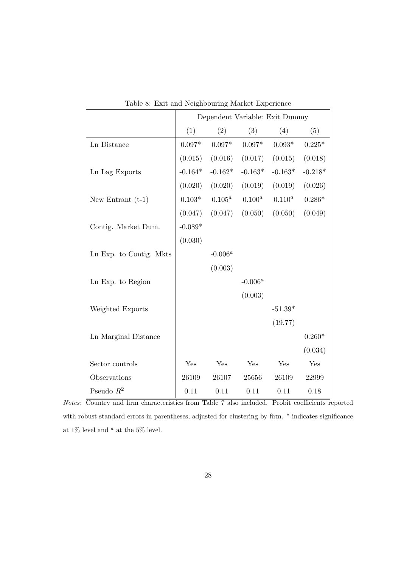|                         |           |            |            | Dependent Variable: Exit Dummy |           |
|-------------------------|-----------|------------|------------|--------------------------------|-----------|
|                         | (1)       | (2)        | (3)        | (4)                            | (5)       |
| Ln Distance             | $0.097*$  | $0.097*$   | $0.097*$   | $0.093*$                       | $0.225*$  |
|                         | (0.015)   | (0.016)    | (0.017)    | (0.015)                        | (0.018)   |
| Ln Lag Exports          | $-0.164*$ | $-0.162*$  | $-0.163*$  | $-0.163*$                      | $-0.218*$ |
|                         | (0.020)   | (0.020)    | (0.019)    | (0.019)                        | (0.026)   |
| New Entrant $(t-1)$     | $0.103*$  | $0.105^a$  | $0.100^a$  | $0.110^a$                      | $0.286*$  |
|                         | (0.047)   | (0.047)    | (0.050)    | (0.050)                        | (0.049)   |
| Contig. Market Dum.     | $-0.089*$ |            |            |                                |           |
|                         | (0.030)   |            |            |                                |           |
| Ln Exp. to Contig. Mkts |           | $-0.006^a$ |            |                                |           |
|                         |           | (0.003)    |            |                                |           |
| Ln Exp. to Region       |           |            | $-0.006^a$ |                                |           |
|                         |           |            | (0.003)    |                                |           |
| Weighted Exports        |           |            |            | $-51.39*$                      |           |
|                         |           |            |            | (19.77)                        |           |
| Ln Marginal Distance    |           |            |            |                                | $0.260*$  |
|                         |           |            |            |                                | (0.034)   |
| Sector controls         | Yes       | Yes        | Yes        | Yes                            | Yes       |
| Observations            | 26109     | 26107      | 25656      | 26109                          | 22999     |
| Pseudo $R^2$            | 0.11      | 0.11       | 0.11       | 0.11                           | 0.18      |

Table 8: Exit and Neighbouring Market Experience

Notes: Country and firm characteristics from Table 7 also included. Probit coefficients reported with robust standard errors in parentheses, adjusted for clustering by firm.  $*$  indicates significance at 1% level and  $^a$  at the 5% level.